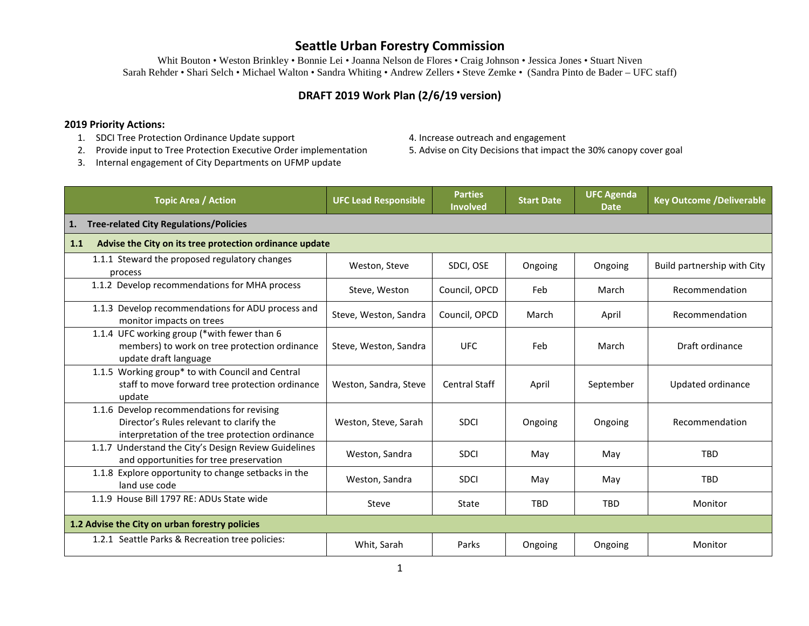Whit Bouton • Weston Brinkley • Bonnie Lei • Joanna Nelson de Flores • Craig Johnson • Jessica Jones • Stuart Niven Sarah Rehder • Shari Selch • Michael Walton • Sandra Whiting • Andrew Zellers • Steve Zemke • (Sandra Pinto de Bader – UFC staff)

#### **DRAFT 2019 Work Plan (2/6/19 version)**

#### **2019 Priority Actions:**

- 1. SDCI Tree Protection Ordinance Update support 4. Increase outreach and engagement
- 2. Provide input to Tree Protection Executive Order implementation 5. Advise on City Decisions that impact the 30% canopy cover goal
- 3. Internal engagement of City Departments on UFMP update
- 
- 

| <b>Topic Area / Action</b>                                                                                                                | <b>UFC Lead Responsible</b> | <b>Parties</b><br><b>Involved</b> | <b>Start Date</b> | <b>UFC Agenda</b><br><b>Date</b> | <b>Key Outcome /Deliverable</b> |
|-------------------------------------------------------------------------------------------------------------------------------------------|-----------------------------|-----------------------------------|-------------------|----------------------------------|---------------------------------|
| <b>Tree-related City Regulations/Policies</b><br>1.                                                                                       |                             |                                   |                   |                                  |                                 |
| Advise the City on its tree protection ordinance update<br>1.1                                                                            |                             |                                   |                   |                                  |                                 |
| 1.1.1 Steward the proposed regulatory changes<br>process                                                                                  | Weston, Steve               | SDCI, OSE                         | Ongoing           | Ongoing                          | Build partnership with City     |
| 1.1.2 Develop recommendations for MHA process                                                                                             | Steve, Weston               | Council, OPCD                     | Feb               | March                            | Recommendation                  |
| 1.1.3 Develop recommendations for ADU process and<br>monitor impacts on trees                                                             | Steve, Weston, Sandra       | Council, OPCD                     | March             | April                            | Recommendation                  |
| 1.1.4 UFC working group (*with fewer than 6<br>members) to work on tree protection ordinance<br>update draft language                     | Steve, Weston, Sandra       | <b>UFC</b>                        | Feb               | March                            | Draft ordinance                 |
| 1.1.5 Working group* to with Council and Central<br>staff to move forward tree protection ordinance<br>update                             | Weston, Sandra, Steve       | <b>Central Staff</b>              | April             | September                        | Updated ordinance               |
| 1.1.6 Develop recommendations for revising<br>Director's Rules relevant to clarify the<br>interpretation of the tree protection ordinance | Weston, Steve, Sarah        | <b>SDCI</b>                       | Ongoing           | Ongoing                          | Recommendation                  |
| 1.1.7 Understand the City's Design Review Guidelines<br>and opportunities for tree preservation                                           | Weston, Sandra              | <b>SDCI</b>                       | May               | May                              | <b>TBD</b>                      |
| 1.1.8 Explore opportunity to change setbacks in the<br>land use code                                                                      | Weston, Sandra              | <b>SDCI</b>                       | May               | May                              | <b>TBD</b>                      |
| 1.1.9 House Bill 1797 RE: ADUs State wide                                                                                                 | Steve                       | State                             | <b>TBD</b>        | <b>TBD</b>                       | Monitor                         |
| 1.2 Advise the City on urban forestry policies                                                                                            |                             |                                   |                   |                                  |                                 |
| 1.2.1 Seattle Parks & Recreation tree policies:                                                                                           | Whit, Sarah                 | Parks                             | Ongoing           | Ongoing                          | Monitor                         |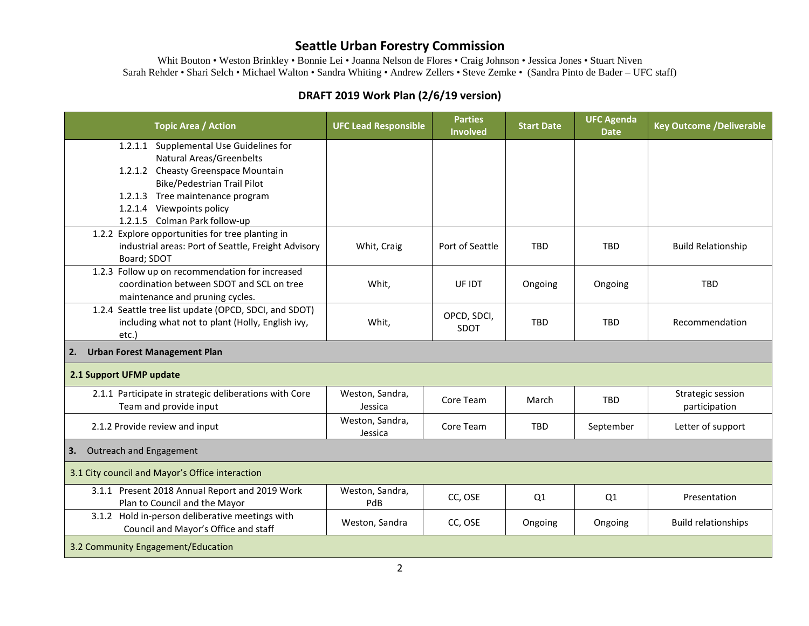Whit Bouton • Weston Brinkley • Bonnie Lei • Joanna Nelson de Flores • Craig Johnson • Jessica Jones • Stuart Niven Sarah Rehder • Shari Selch • Michael Walton • Sandra Whiting • Andrew Zellers • Steve Zemke • (Sandra Pinto de Bader – UFC staff)

### **DRAFT 2019 Work Plan (2/6/19 version)**

| <b>Topic Area / Action</b>                                                        | <b>UFC Lead Responsible</b> | <b>Parties</b><br><b>Involved</b> | <b>Start Date</b> | <b>UFC Agenda</b><br><b>Date</b> | <b>Key Outcome /Deliverable</b> |  |
|-----------------------------------------------------------------------------------|-----------------------------|-----------------------------------|-------------------|----------------------------------|---------------------------------|--|
| 1.2.1.1 Supplemental Use Guidelines for                                           |                             |                                   |                   |                                  |                                 |  |
| <b>Natural Areas/Greenbelts</b>                                                   |                             |                                   |                   |                                  |                                 |  |
| 1.2.1.2 Cheasty Greenspace Mountain                                               |                             |                                   |                   |                                  |                                 |  |
| Bike/Pedestrian Trail Pilot                                                       |                             |                                   |                   |                                  |                                 |  |
| 1.2.1.3 Tree maintenance program                                                  |                             |                                   |                   |                                  |                                 |  |
| 1.2.1.4 Viewpoints policy                                                         |                             |                                   |                   |                                  |                                 |  |
| 1.2.1.5 Colman Park follow-up<br>1.2.2 Explore opportunities for tree planting in |                             |                                   |                   |                                  |                                 |  |
| industrial areas: Port of Seattle, Freight Advisory                               | Whit, Craig                 | Port of Seattle                   | <b>TBD</b>        | <b>TBD</b>                       | <b>Build Relationship</b>       |  |
| Board; SDOT                                                                       |                             |                                   |                   |                                  |                                 |  |
| 1.2.3 Follow up on recommendation for increased                                   |                             |                                   |                   |                                  |                                 |  |
| coordination between SDOT and SCL on tree                                         | Whit,                       | UF IDT                            | Ongoing           | Ongoing                          | <b>TBD</b>                      |  |
| maintenance and pruning cycles.                                                   |                             |                                   |                   |                                  |                                 |  |
| 1.2.4 Seattle tree list update (OPCD, SDCI, and SDOT)                             |                             |                                   |                   |                                  |                                 |  |
| including what not to plant (Holly, English ivy,                                  | Whit,                       | OPCD, SDCI,                       | <b>TBD</b>        | <b>TBD</b>                       | Recommendation                  |  |
| etc.)                                                                             |                             | <b>SDOT</b>                       |                   |                                  |                                 |  |
| <b>Urban Forest Management Plan</b><br>2.                                         |                             |                                   |                   |                                  |                                 |  |
| 2.1 Support UFMP update                                                           |                             |                                   |                   |                                  |                                 |  |
| 2.1.1 Participate in strategic deliberations with Core                            | Weston, Sandra,             | Core Team                         | March             | <b>TBD</b>                       | Strategic session               |  |
| Team and provide input                                                            | Jessica                     |                                   |                   |                                  | participation                   |  |
| 2.1.2 Provide review and input                                                    | Weston, Sandra,<br>Jessica  | Core Team                         | <b>TBD</b>        | September                        | Letter of support               |  |
| Outreach and Engagement<br>3.                                                     |                             |                                   |                   |                                  |                                 |  |
| 3.1 City council and Mayor's Office interaction                                   |                             |                                   |                   |                                  |                                 |  |
| 3.1.1 Present 2018 Annual Report and 2019 Work                                    | Weston, Sandra,             | CC, OSE                           | Q1                | Q1                               | Presentation                    |  |
| Plan to Council and the Mayor                                                     | PdB                         |                                   |                   |                                  |                                 |  |
| 3.1.2 Hold in-person deliberative meetings with                                   | Weston, Sandra              | CC, OSE                           | Ongoing           | Ongoing                          | <b>Build relationships</b>      |  |
| Council and Mayor's Office and staff                                              |                             |                                   |                   |                                  |                                 |  |
| 3.2 Community Engagement/Education                                                |                             |                                   |                   |                                  |                                 |  |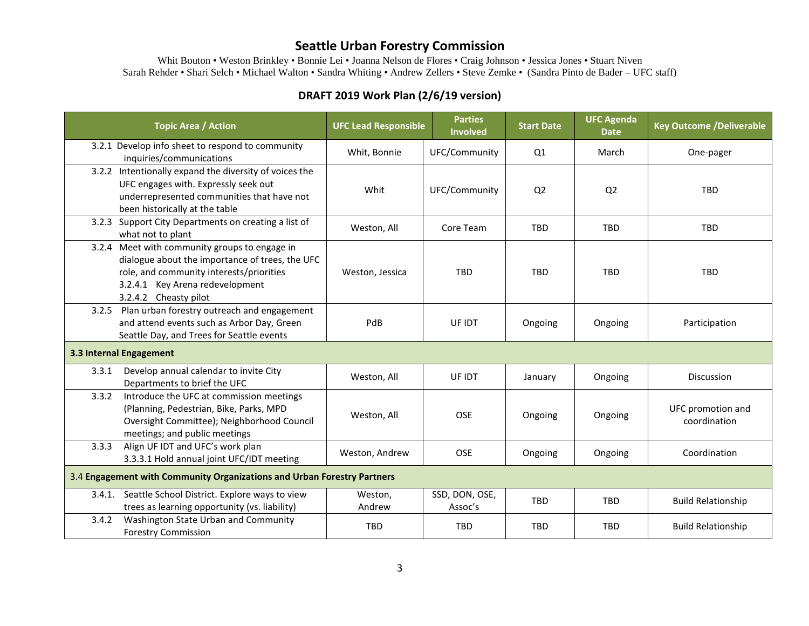Whit Bouton • Weston Brinkley • Bonnie Lei • Joanna Nelson de Flores • Craig Johnson • Jessica Jones • Stuart Niven Sarah Rehder • Shari Selch • Michael Walton • Sandra Whiting • Andrew Zellers • Steve Zemke • (Sandra Pinto de Bader – UFC staff)

## **DRAFT 2019 Work Plan (2/6/19 version)**

| <b>Topic Area / Action</b>                                                                                                                                                                               | <b>UFC Lead Responsible</b> | <b>Parties</b><br><b>Involved</b> | <b>Start Date</b> | <b>UFC Agenda</b><br><b>Date</b> | <b>Key Outcome /Deliverable</b>   |  |
|----------------------------------------------------------------------------------------------------------------------------------------------------------------------------------------------------------|-----------------------------|-----------------------------------|-------------------|----------------------------------|-----------------------------------|--|
| 3.2.1 Develop info sheet to respond to community<br>inquiries/communications                                                                                                                             | Whit, Bonnie                | UFC/Community                     | Q1                | March                            | One-pager                         |  |
| 3.2.2 Intentionally expand the diversity of voices the<br>UFC engages with. Expressly seek out<br>underrepresented communities that have not<br>been historically at the table                           | Whit                        | UFC/Community                     | Q <sub>2</sub>    | Q <sub>2</sub>                   | <b>TBD</b>                        |  |
| 3.2.3 Support City Departments on creating a list of<br>what not to plant                                                                                                                                | Weston, All                 | Core Team                         | <b>TBD</b>        | <b>TBD</b>                       | <b>TBD</b>                        |  |
| 3.2.4 Meet with community groups to engage in<br>dialogue about the importance of trees, the UFC<br>role, and community interests/priorities<br>3.2.4.1 Key Arena redevelopment<br>3.2.4.2 Cheasty pilot | Weston, Jessica             | <b>TBD</b>                        | <b>TBD</b>        | <b>TBD</b>                       | <b>TBD</b>                        |  |
| 3.2.5 Plan urban forestry outreach and engagement<br>and attend events such as Arbor Day, Green<br>Seattle Day, and Trees for Seattle events                                                             | PdB                         | UF IDT                            | Ongoing           | Ongoing                          | Participation                     |  |
| 3.3 Internal Engagement                                                                                                                                                                                  |                             |                                   |                   |                                  |                                   |  |
| Develop annual calendar to invite City<br>3.3.1<br>Departments to brief the UFC                                                                                                                          | Weston, All                 | UF IDT                            | January           | Ongoing                          | <b>Discussion</b>                 |  |
| 3.3.2<br>Introduce the UFC at commission meetings<br>(Planning, Pedestrian, Bike, Parks, MPD<br>Oversight Committee); Neighborhood Council<br>meetings; and public meetings                              | Weston, All                 | <b>OSE</b>                        | Ongoing           | Ongoing                          | UFC promotion and<br>coordination |  |
| 3.3.3<br>Align UF IDT and UFC's work plan<br>3.3.3.1 Hold annual joint UFC/IDT meeting                                                                                                                   | Weston, Andrew              | <b>OSE</b>                        | Ongoing           | Ongoing                          | Coordination                      |  |
| 3.4 Engagement with Community Organizations and Urban Forestry Partners                                                                                                                                  |                             |                                   |                   |                                  |                                   |  |
| Seattle School District. Explore ways to view<br>3.4.1.<br>trees as learning opportunity (vs. liability)                                                                                                 | Weston,<br>Andrew           | SSD, DON, OSE,<br>Assoc's         | TBD               | <b>TBD</b>                       | <b>Build Relationship</b>         |  |
| Washington State Urban and Community<br>3.4.2<br><b>Forestry Commission</b>                                                                                                                              | <b>TBD</b>                  | <b>TBD</b>                        | <b>TBD</b>        | <b>TBD</b>                       | <b>Build Relationship</b>         |  |